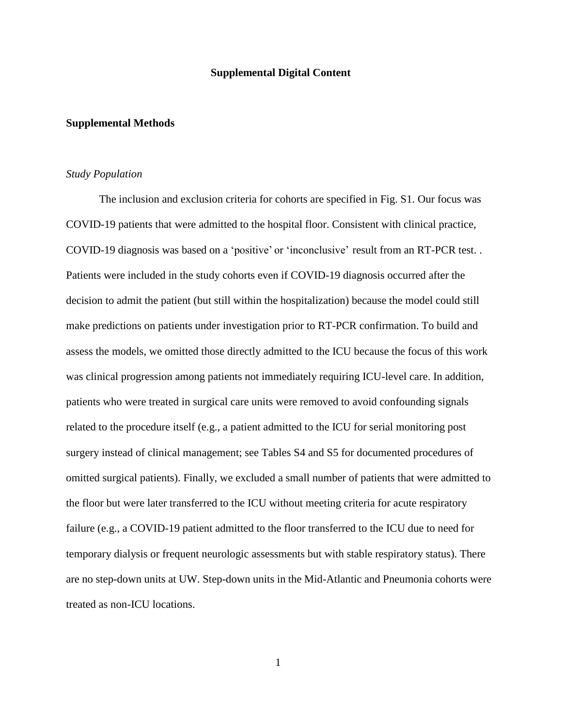## **Supplemental Digital Content**

## **Supplemental Methods**

## *Study Population*

The inclusion and exclusion criteria for cohorts are specified in Fig. S1. Our focus was COVID-19 patients that were admitted to the hospital floor. Consistent with clinical practice, COVID-19 diagnosis was based on a 'positive' or 'inconclusive' result from an RT-PCR test. . Patients were included in the study cohorts even if COVID-19 diagnosis occurred after the decision to admit the patient (but still within the hospitalization) because the model could still make predictions on patients under investigation prior to RT-PCR confirmation. To build and assess the models, we omitted those directly admitted to the ICU because the focus of this work was clinical progression among patients not immediately requiring ICU-level care. In addition, patients who were treated in surgical care units were removed to avoid confounding signals related to the procedure itself (e.g., a patient admitted to the ICU for serial monitoring post surgery instead of clinical management; see Tables S4 and S5 for documented procedures of omitted surgical patients). Finally, we excluded a small number of patients that were admitted to the floor but were later transferred to the ICU without meeting criteria for acute respiratory failure (e.g., a COVID-19 patient admitted to the floor transferred to the ICU due to need for temporary dialysis or frequent neurologic assessments but with stable respiratory status). There are no step-down units at UW. Step-down units in the Mid-Atlantic and Pneumonia cohorts were treated as non-ICU locations.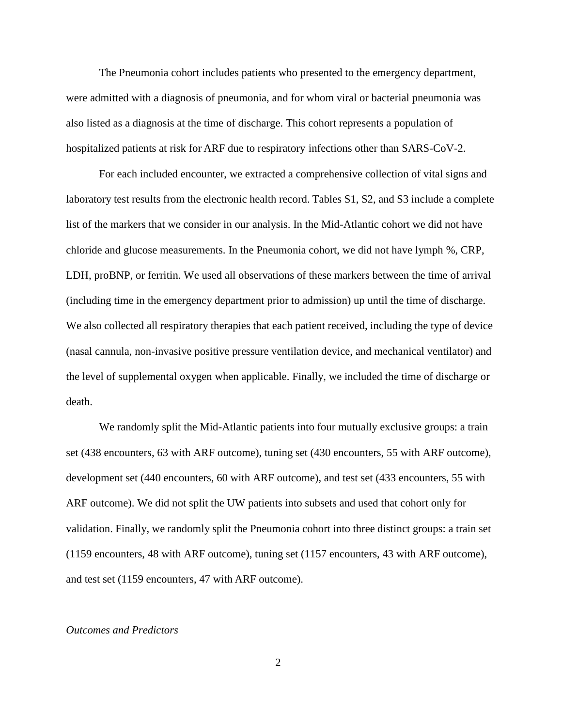The Pneumonia cohort includes patients who presented to the emergency department, were admitted with a diagnosis of pneumonia, and for whom viral or bacterial pneumonia was also listed as a diagnosis at the time of discharge. This cohort represents a population of hospitalized patients at risk for ARF due to respiratory infections other than SARS-CoV-2.

For each included encounter, we extracted a comprehensive collection of vital signs and laboratory test results from the electronic health record. Tables S1, S2, and S3 include a complete list of the markers that we consider in our analysis. In the Mid-Atlantic cohort we did not have chloride and glucose measurements. In the Pneumonia cohort, we did not have lymph %, CRP, LDH, proBNP, or ferritin. We used all observations of these markers between the time of arrival (including time in the emergency department prior to admission) up until the time of discharge. We also collected all respiratory therapies that each patient received, including the type of device (nasal cannula, non-invasive positive pressure ventilation device, and mechanical ventilator) and the level of supplemental oxygen when applicable. Finally, we included the time of discharge or death.

We randomly split the Mid-Atlantic patients into four mutually exclusive groups: a train set (438 encounters, 63 with ARF outcome), tuning set (430 encounters, 55 with ARF outcome), development set (440 encounters, 60 with ARF outcome), and test set (433 encounters, 55 with ARF outcome). We did not split the UW patients into subsets and used that cohort only for validation. Finally, we randomly split the Pneumonia cohort into three distinct groups: a train set (1159 encounters, 48 with ARF outcome), tuning set (1157 encounters, 43 with ARF outcome), and test set (1159 encounters, 47 with ARF outcome).

## *Outcomes and Predictors*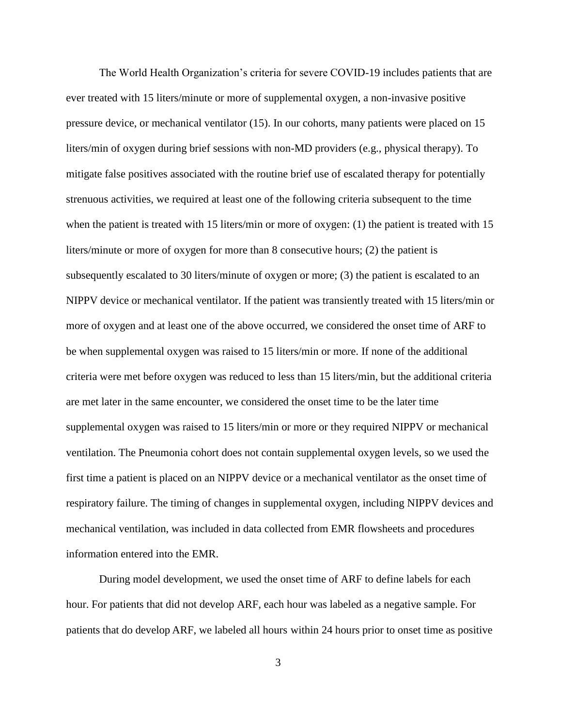The World Health Organization's criteria for severe COVID-19 includes patients that are ever treated with 15 liters/minute or more of supplemental oxygen, a non-invasive positive pressure device, or mechanical ventilator [\(15\).](https://paperpile.com/c/twfeUD/6OtYH) In our cohorts, many patients were placed on 15 liters/min of oxygen during brief sessions with non-MD providers (e.g., physical therapy). To mitigate false positives associated with the routine brief use of escalated therapy for potentially strenuous activities, we required at least one of the following criteria subsequent to the time when the patient is treated with 15 liters/min or more of oxygen: (1) the patient is treated with 15 liters/minute or more of oxygen for more than 8 consecutive hours; (2) the patient is subsequently escalated to 30 liters/minute of oxygen or more; (3) the patient is escalated to an NIPPV device or mechanical ventilator. If the patient was transiently treated with 15 liters/min or more of oxygen and at least one of the above occurred, we considered the onset time of ARF to be when supplemental oxygen was raised to 15 liters/min or more. If none of the additional criteria were met before oxygen was reduced to less than 15 liters/min, but the additional criteria are met later in the same encounter, we considered the onset time to be the later time supplemental oxygen was raised to 15 liters/min or more or they required NIPPV or mechanical ventilation. The Pneumonia cohort does not contain supplemental oxygen levels, so we used the first time a patient is placed on an NIPPV device or a mechanical ventilator as the onset time of respiratory failure. The timing of changes in supplemental oxygen, including NIPPV devices and mechanical ventilation, was included in data collected from EMR flowsheets and procedures information entered into the EMR.

During model development, we used the onset time of ARF to define labels for each hour. For patients that did not develop ARF, each hour was labeled as a negative sample. For patients that do develop ARF, we labeled all hours within 24 hours prior to onset time as positive

3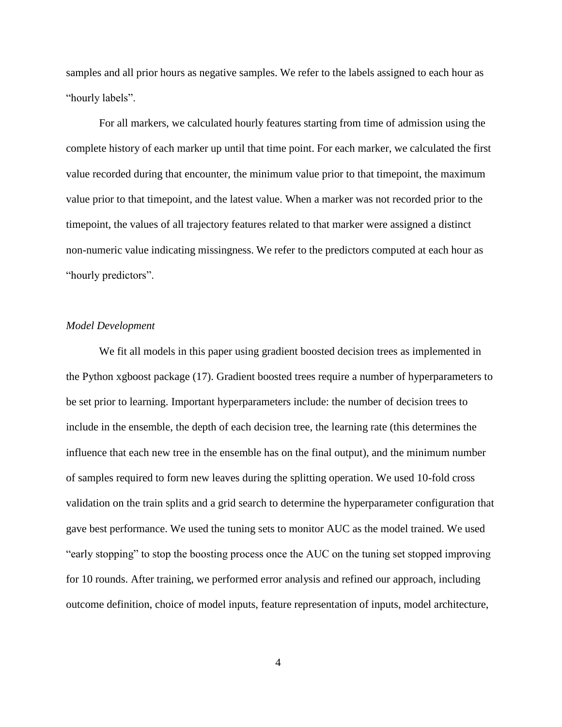samples and all prior hours as negative samples. We refer to the labels assigned to each hour as "hourly labels".

For all markers, we calculated hourly features starting from time of admission using the complete history of each marker up until that time point. For each marker, we calculated the first value recorded during that encounter, the minimum value prior to that timepoint, the maximum value prior to that timepoint, and the latest value. When a marker was not recorded prior to the timepoint, the values of all trajectory features related to that marker were assigned a distinct non-numeric value indicating missingness. We refer to the predictors computed at each hour as "hourly predictors".

# *Model Development*

We fit all models in this paper using gradient boosted decision trees as implemented in the Python xgboost package [\(17\).](https://paperpile.com/c/twfeUD/2xBIe) Gradient boosted trees require a number of hyperparameters to be set prior to learning. Important hyperparameters include: the number of decision trees to include in the ensemble, the depth of each decision tree, the learning rate (this determines the influence that each new tree in the ensemble has on the final output), and the minimum number of samples required to form new leaves during the splitting operation. We used 10-fold cross validation on the train splits and a grid search to determine the hyperparameter configuration that gave best performance. We used the tuning sets to monitor AUC as the model trained. We used "early stopping" to stop the boosting process once the AUC on the tuning set stopped improving for 10 rounds. After training, we performed error analysis and refined our approach, including outcome definition, choice of model inputs, feature representation of inputs, model architecture,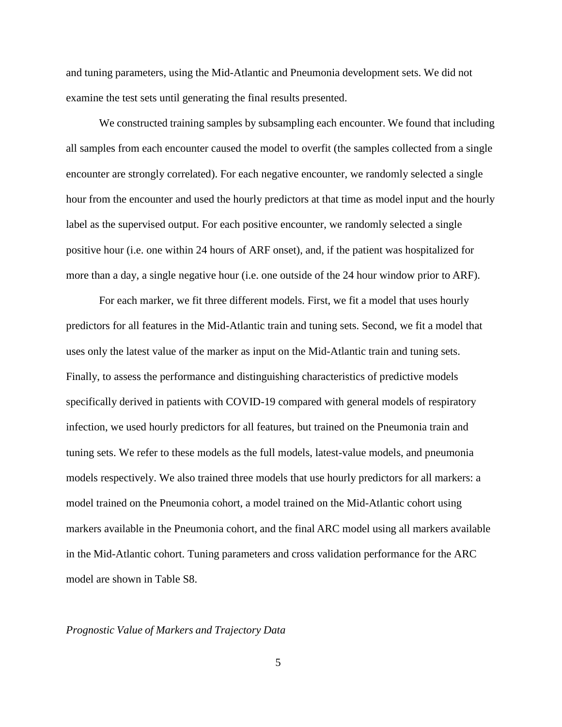and tuning parameters, using the Mid-Atlantic and Pneumonia development sets. We did not examine the test sets until generating the final results presented.

We constructed training samples by subsampling each encounter. We found that including all samples from each encounter caused the model to overfit (the samples collected from a single encounter are strongly correlated). For each negative encounter, we randomly selected a single hour from the encounter and used the hourly predictors at that time as model input and the hourly label as the supervised output. For each positive encounter, we randomly selected a single positive hour (i.e. one within 24 hours of ARF onset), and, if the patient was hospitalized for more than a day, a single negative hour (i.e. one outside of the 24 hour window prior to ARF).

For each marker, we fit three different models. First, we fit a model that uses hourly predictors for all features in the Mid-Atlantic train and tuning sets. Second, we fit a model that uses only the latest value of the marker as input on the Mid-Atlantic train and tuning sets. Finally, to assess the performance and distinguishing characteristics of predictive models specifically derived in patients with COVID-19 compared with general models of respiratory infection, we used hourly predictors for all features, but trained on the Pneumonia train and tuning sets. We refer to these models as the full models, latest-value models, and pneumonia models respectively. We also trained three models that use hourly predictors for all markers: a model trained on the Pneumonia cohort, a model trained on the Mid-Atlantic cohort using markers available in the Pneumonia cohort, and the final ARC model using all markers available in the Mid-Atlantic cohort. Tuning parameters and cross validation performance for the ARC model are shown in Table S8.

#### *Prognostic Value of Markers and Trajectory Data*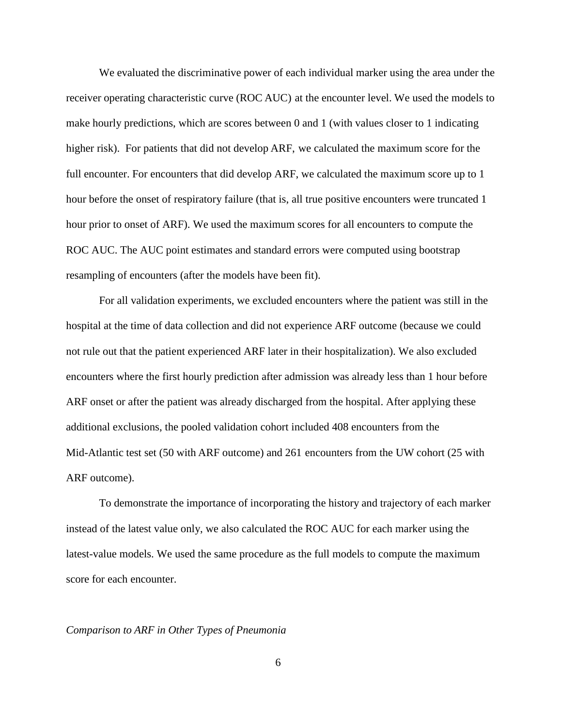We evaluated the discriminative power of each individual marker using the area under the receiver operating characteristic curve (ROC AUC) at the encounter level. We used the models to make hourly predictions, which are scores between 0 and 1 (with values closer to 1 indicating higher risk). For patients that did not develop ARF, we calculated the maximum score for the full encounter. For encounters that did develop ARF, we calculated the maximum score up to 1 hour before the onset of respiratory failure (that is, all true positive encounters were truncated 1 hour prior to onset of ARF). We used the maximum scores for all encounters to compute the ROC AUC. The AUC point estimates and standard errors were computed using bootstrap resampling of encounters (after the models have been fit).

For all validation experiments, we excluded encounters where the patient was still in the hospital at the time of data collection and did not experience ARF outcome (because we could not rule out that the patient experienced ARF later in their hospitalization). We also excluded encounters where the first hourly prediction after admission was already less than 1 hour before ARF onset or after the patient was already discharged from the hospital. After applying these additional exclusions, the pooled validation cohort included 408 encounters from the Mid-Atlantic test set (50 with ARF outcome) and 261 encounters from the UW cohort (25 with ARF outcome).

To demonstrate the importance of incorporating the history and trajectory of each marker instead of the latest value only, we also calculated the ROC AUC for each marker using the latest-value models. We used the same procedure as the full models to compute the maximum score for each encounter.

#### *Comparison to ARF in Other Types of Pneumonia*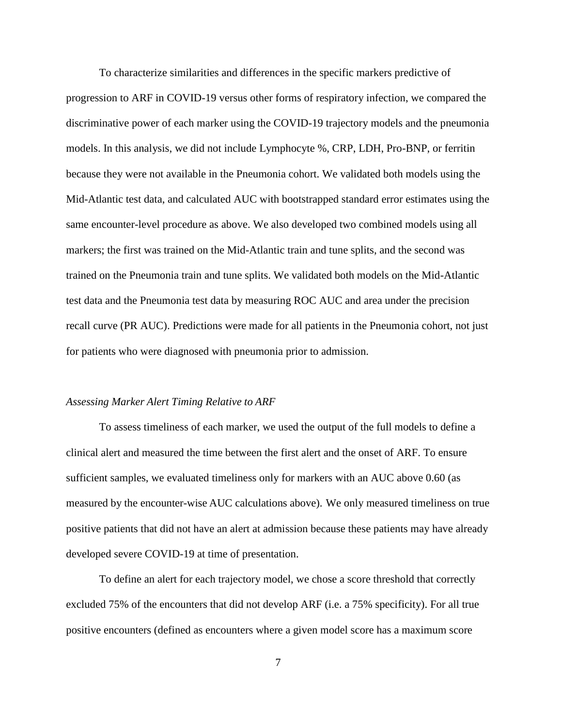To characterize similarities and differences in the specific markers predictive of progression to ARF in COVID-19 versus other forms of respiratory infection, we compared the discriminative power of each marker using the COVID-19 trajectory models and the pneumonia models. In this analysis, we did not include Lymphocyte %, CRP, LDH, Pro-BNP, or ferritin because they were not available in the Pneumonia cohort. We validated both models using the Mid-Atlantic test data, and calculated AUC with bootstrapped standard error estimates using the same encounter-level procedure as above. We also developed two combined models using all markers; the first was trained on the Mid-Atlantic train and tune splits, and the second was trained on the Pneumonia train and tune splits. We validated both models on the Mid-Atlantic test data and the Pneumonia test data by measuring ROC AUC and area under the precision recall curve (PR AUC). Predictions were made for all patients in the Pneumonia cohort, not just for patients who were diagnosed with pneumonia prior to admission.

#### *Assessing Marker Alert Timing Relative to ARF*

To assess timeliness of each marker, we used the output of the full models to define a clinical alert and measured the time between the first alert and the onset of ARF. To ensure sufficient samples, we evaluated timeliness only for markers with an AUC above 0.60 (as measured by the encounter-wise AUC calculations above). We only measured timeliness on true positive patients that did not have an alert at admission because these patients may have already developed severe COVID-19 at time of presentation.

To define an alert for each trajectory model, we chose a score threshold that correctly excluded 75% of the encounters that did not develop ARF (i.e. a 75% specificity). For all true positive encounters (defined as encounters where a given model score has a maximum score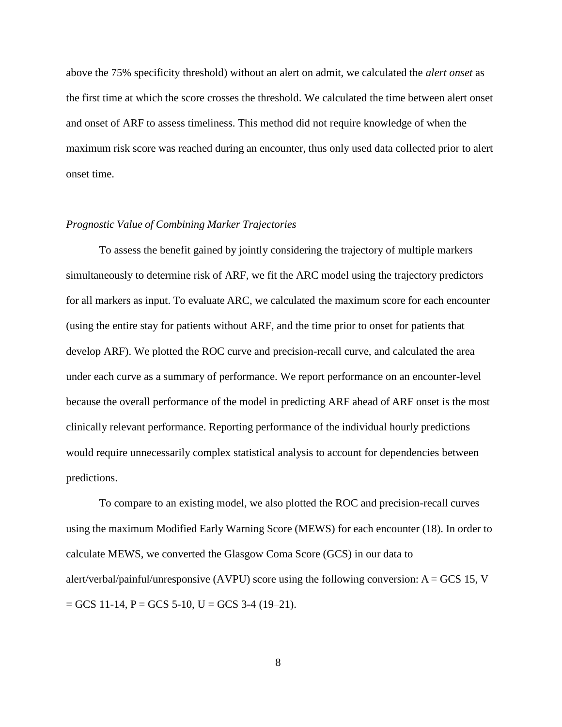above the 75% specificity threshold) without an alert on admit, we calculated the *alert onset* as the first time at which the score crosses the threshold. We calculated the time between alert onset and onset of ARF to assess timeliness. This method did not require knowledge of when the maximum risk score was reached during an encounter, thus only used data collected prior to alert onset time.

# *Prognostic Value of Combining Marker Trajectories*

To assess the benefit gained by jointly considering the trajectory of multiple markers simultaneously to determine risk of ARF, we fit the ARC model using the trajectory predictors for all markers as input. To evaluate ARC, we calculated the maximum score for each encounter (using the entire stay for patients without ARF, and the time prior to onset for patients that develop ARF). We plotted the ROC curve and precision-recall curve, and calculated the area under each curve as a summary of performance. We report performance on an encounter-level because the overall performance of the model in predicting ARF ahead of ARF onset is the most clinically relevant performance. Reporting performance of the individual hourly predictions would require unnecessarily complex statistical analysis to account for dependencies between predictions.

To compare to an existing model, we also plotted the ROC and precision-recall curves using the maximum Modified Early Warning Score (MEWS) for each encounter [\(18\).](https://paperpile.com/c/SJa8mO/r3kKH) In order to calculate MEWS, we converted the Glasgow Coma Score (GCS) in our data to alert/verbal/painful/unresponsive (AVPU) score using the following conversion:  $A = GCS$  15, V  $=$  GCS 11-14, P  $=$  GCS 5-10, U  $=$  GCS 3-4 (19-21).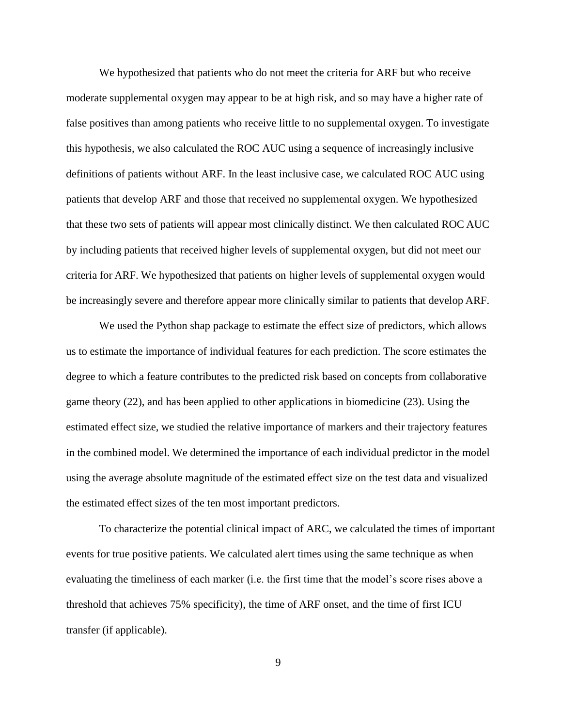We hypothesized that patients who do not meet the criteria for ARF but who receive moderate supplemental oxygen may appear to be at high risk, and so may have a higher rate of false positives than among patients who receive little to no supplemental oxygen. To investigate this hypothesis, we also calculated the ROC AUC using a sequence of increasingly inclusive definitions of patients without ARF. In the least inclusive case, we calculated ROC AUC using patients that develop ARF and those that received no supplemental oxygen. We hypothesized that these two sets of patients will appear most clinically distinct. We then calculated ROC AUC by including patients that received higher levels of supplemental oxygen, but did not meet our criteria for ARF. We hypothesized that patients on higher levels of supplemental oxygen would be increasingly severe and therefore appear more clinically similar to patients that develop ARF.

We used the Python shap package to estimate the effect size of predictors, which allows us to estimate the importance of individual features for each prediction. The score estimates the degree to which a feature contributes to the predicted risk based on concepts from collaborative game theory [\(22\),](https://paperpile.com/c/twfeUD/NwoMu) and has been applied to other applications in biomedicine [\(23\).](https://paperpile.com/c/twfeUD/2nSwu) Using the estimated effect size, we studied the relative importance of markers and their trajectory features in the combined model. We determined the importance of each individual predictor in the model using the average absolute magnitude of the estimated effect size on the test data and visualized the estimated effect sizes of the ten most important predictors.

To characterize the potential clinical impact of ARC, we calculated the times of important events for true positive patients. We calculated alert times using the same technique as when evaluating the timeliness of each marker (i.e. the first time that the model's score rises above a threshold that achieves 75% specificity), the time of ARF onset, and the time of first ICU transfer (if applicable).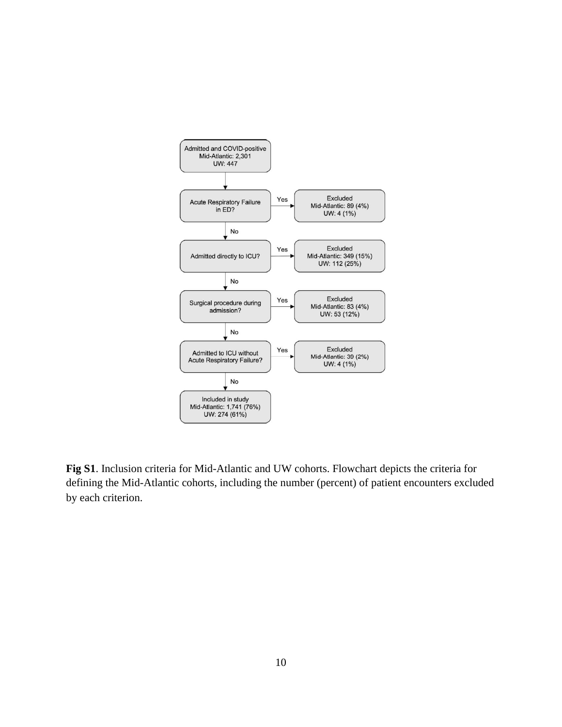

**Fig S1**. Inclusion criteria for Mid-Atlantic and UW cohorts. Flowchart depicts the criteria for defining the Mid-Atlantic cohorts, including the number (percent) of patient encounters excluded by each criterion.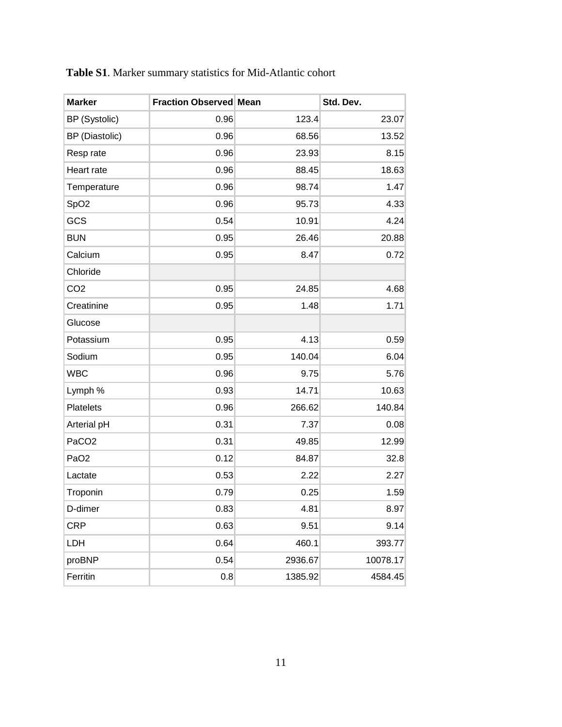| <b>Marker</b>         | <b>Fraction Observed Mean</b> |         | Std. Dev. |
|-----------------------|-------------------------------|---------|-----------|
| BP (Systolic)         | 0.96                          | 123.4   | 23.07     |
| <b>BP</b> (Diastolic) | 0.96                          | 68.56   | 13.52     |
| Resp rate             | 0.96                          | 23.93   | 8.15      |
| Heart rate            | 0.96                          | 88.45   | 18.63     |
| Temperature           | 0.96                          | 98.74   | 1.47      |
| SpO <sub>2</sub>      | 0.96                          | 95.73   | 4.33      |
| GCS                   | 0.54                          | 10.91   | 4.24      |
| <b>BUN</b>            | 0.95                          | 26.46   | 20.88     |
| Calcium               | 0.95                          | 8.47    | 0.72      |
| Chloride              |                               |         |           |
| CO <sub>2</sub>       | 0.95                          | 24.85   | 4.68      |
| Creatinine            | 0.95                          | 1.48    | 1.71      |
| Glucose               |                               |         |           |
| Potassium             | 0.95                          | 4.13    | 0.59      |
| Sodium                | 0.95                          | 140.04  | 6.04      |
| <b>WBC</b>            | 0.96                          | 9.75    | 5.76      |
| Lymph %               | 0.93                          | 14.71   | 10.63     |
| Platelets             | 0.96                          | 266.62  | 140.84    |
| Arterial pH           | 0.31                          | 7.37    | 0.08      |
| PaCO <sub>2</sub>     | 0.31                          | 49.85   | 12.99     |
| PaO <sub>2</sub>      | 0.12                          | 84.87   | 32.8      |
| Lactate               | 0.53                          | 2.22    | 2.27      |
| Troponin              | 0.79                          | 0.25    | 1.59      |
| D-dimer               | 0.83                          | 4.81    | 8.97      |
| <b>CRP</b>            | 0.63                          | 9.51    | 9.14      |
| LDH                   | 0.64                          | 460.1   | 393.77    |
| proBNP                | 0.54                          | 2936.67 | 10078.17  |
| Ferritin              | 0.8                           | 1385.92 | 4584.45   |

| Table S1. Marker summary statistics for Mid-Atlantic cohort |  |  |  |  |
|-------------------------------------------------------------|--|--|--|--|
|-------------------------------------------------------------|--|--|--|--|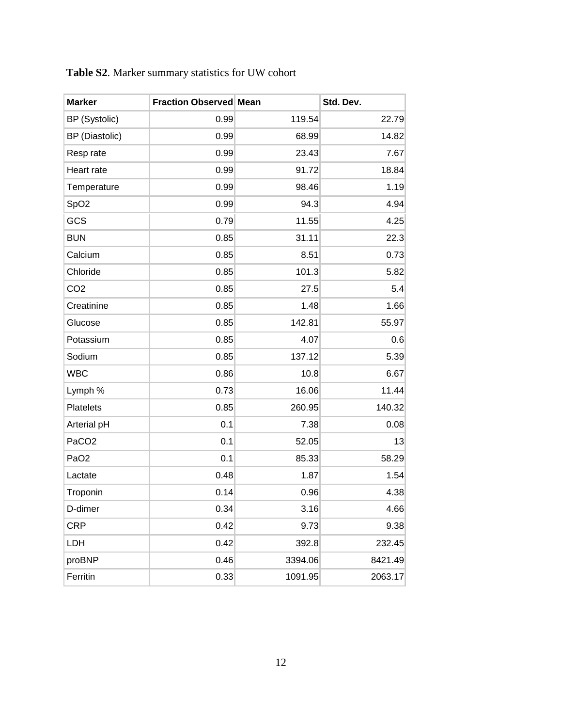| <b>Marker</b>     | <b>Fraction Observed Mean</b> |         | Std. Dev. |
|-------------------|-------------------------------|---------|-----------|
| BP (Systolic)     | 0.99                          | 119.54  | 22.79     |
| BP (Diastolic)    | 0.99                          | 68.99   | 14.82     |
| Resp rate         | 0.99                          | 23.43   | 7.67      |
| Heart rate        | 0.99                          | 91.72   | 18.84     |
| Temperature       | 0.99                          | 98.46   | 1.19      |
| SpO <sub>2</sub>  | 0.99                          | 94.3    | 4.94      |
| GCS               | 0.79                          | 11.55   | 4.25      |
| <b>BUN</b>        | 0.85                          | 31.11   | 22.3      |
| Calcium           | 0.85                          | 8.51    | 0.73      |
| Chloride          | 0.85                          | 101.3   | 5.82      |
| CO <sub>2</sub>   | 0.85                          | 27.5    | 5.4       |
| Creatinine        | 0.85                          | 1.48    | 1.66      |
| Glucose           | 0.85                          | 142.81  | 55.97     |
| Potassium         | 0.85                          | 4.07    | 0.6       |
| Sodium            | 0.85                          | 137.12  | 5.39      |
| <b>WBC</b>        | 0.86                          | 10.8    | 6.67      |
| Lymph %           | 0.73                          | 16.06   | 11.44     |
| Platelets         | 0.85                          | 260.95  | 140.32    |
| Arterial pH       | 0.1                           | 7.38    | 0.08      |
| PaCO <sub>2</sub> | 0.1                           | 52.05   | 13        |
| PaO <sub>2</sub>  | 0.1                           | 85.33   | 58.29     |
| Lactate           | 0.48                          | 1.87    | 1.54      |
| Troponin          | 0.14                          | 0.96    | 4.38      |
| D-dimer           | 0.34                          | 3.16    | 4.66      |
| <b>CRP</b>        | 0.42                          | 9.73    | 9.38      |
| LDH               | 0.42                          | 392.8   | 232.45    |
| proBNP            | 0.46                          | 3394.06 | 8421.49   |
| Ferritin          | 0.33                          | 1091.95 | 2063.17   |

| Table S2. Marker summary statistics for UW cohort |  |  |  |
|---------------------------------------------------|--|--|--|
|---------------------------------------------------|--|--|--|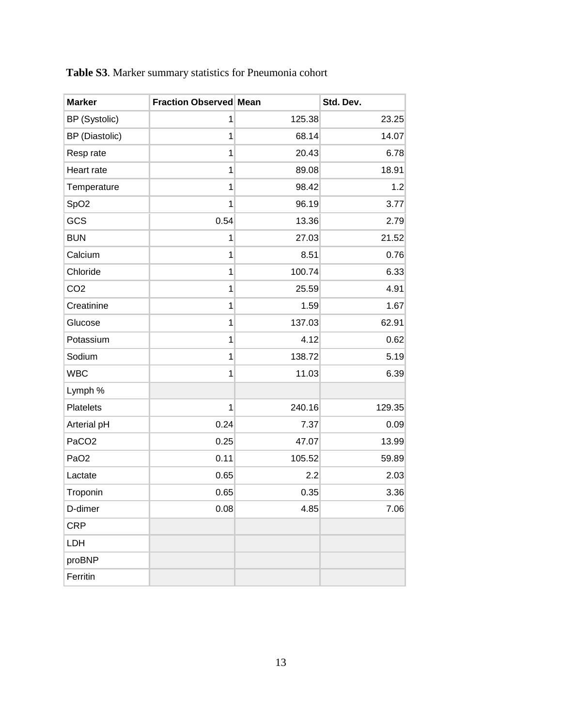| <b>Marker</b>     | <b>Fraction Observed Mean</b> |        | Std. Dev. |
|-------------------|-------------------------------|--------|-----------|
| BP (Systolic)     | 1                             | 125.38 | 23.25     |
| BP (Diastolic)    | 1                             | 68.14  | 14.07     |
| Resp rate         | 1                             | 20.43  | 6.78      |
| Heart rate        | 1                             | 89.08  | 18.91     |
| Temperature       | 1                             | 98.42  | 1.2       |
| SpO <sub>2</sub>  | 1                             | 96.19  | 3.77      |
| GCS               | 0.54                          | 13.36  | 2.79      |
| <b>BUN</b>        | 1                             | 27.03  | 21.52     |
| Calcium           | 1                             | 8.51   | 0.76      |
| Chloride          | 1                             | 100.74 | 6.33      |
| CO <sub>2</sub>   | 1                             | 25.59  | 4.91      |
| Creatinine        | 1                             | 1.59   | 1.67      |
| Glucose           | 1                             | 137.03 | 62.91     |
| Potassium         | 1                             | 4.12   | 0.62      |
| Sodium            | 1                             | 138.72 | 5.19      |
| <b>WBC</b>        | 1                             | 11.03  | 6.39      |
| Lymph %           |                               |        |           |
| Platelets         | 1                             | 240.16 | 129.35    |
| Arterial pH       | 0.24                          | 7.37   | 0.09      |
| PaCO <sub>2</sub> | 0.25                          | 47.07  | 13.99     |
| PaO <sub>2</sub>  | 0.11                          | 105.52 | 59.89     |
| Lactate           | 0.65                          | 2.2    | 2.03      |
| Troponin          | 0.65                          | 0.35   | 3.36      |
| D-dimer           | 0.08                          | 4.85   | 7.06      |
| <b>CRP</b>        |                               |        |           |
| LDH               |                               |        |           |
| proBNP            |                               |        |           |
| Ferritin          |                               |        |           |

**Table S3**. Marker summary statistics for Pneumonia cohort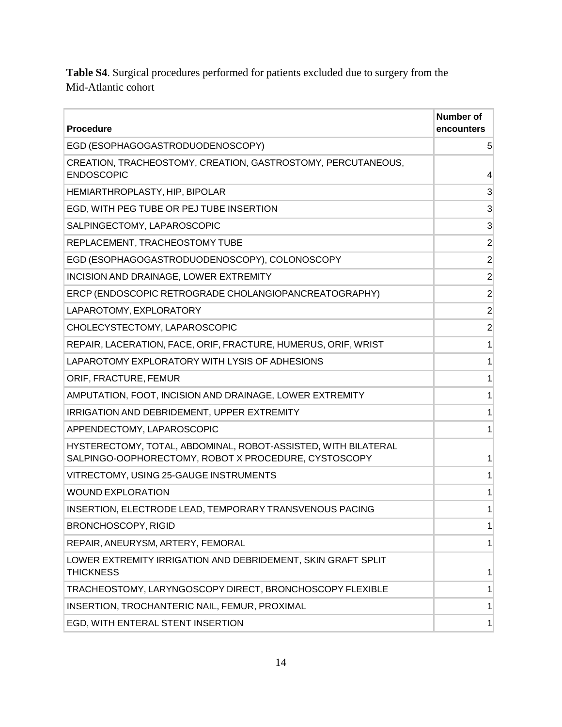**Table S4**. Surgical procedures performed for patients excluded due to surgery from the Mid-Atlantic cohort

| <b>Procedure</b>                                                                                                       | <b>Number of</b><br>encounters |
|------------------------------------------------------------------------------------------------------------------------|--------------------------------|
| EGD (ESOPHAGOGASTRODUODENOSCOPY)                                                                                       | $5\overline{)}$                |
| CREATION, TRACHEOSTOMY, CREATION, GASTROSTOMY, PERCUTANEOUS,<br><b>ENDOSCOPIC</b>                                      | $\overline{4}$                 |
| HEMIARTHROPLASTY, HIP, BIPOLAR                                                                                         | 3                              |
| EGD, WITH PEG TUBE OR PEJ TUBE INSERTION                                                                               | 3                              |
| SALPINGECTOMY, LAPAROSCOPIC                                                                                            | 3                              |
| REPLACEMENT, TRACHEOSTOMY TUBE                                                                                         | $\overline{2}$                 |
| EGD (ESOPHAGOGASTRODUODENOSCOPY), COLONOSCOPY                                                                          | $\overline{2}$                 |
| INCISION AND DRAINAGE, LOWER EXTREMITY                                                                                 | $\overline{2}$                 |
| ERCP (ENDOSCOPIC RETROGRADE CHOLANGIOPANCREATOGRAPHY)                                                                  | $\overline{2}$                 |
| LAPAROTOMY, EXPLORATORY                                                                                                | $\overline{2}$                 |
| CHOLECYSTECTOMY, LAPAROSCOPIC                                                                                          | $\overline{2}$                 |
| REPAIR, LACERATION, FACE, ORIF, FRACTURE, HUMERUS, ORIF, WRIST                                                         | 1                              |
| LAPAROTOMY EXPLORATORY WITH LYSIS OF ADHESIONS                                                                         | 1                              |
| ORIF, FRACTURE, FEMUR                                                                                                  | 1                              |
| AMPUTATION, FOOT, INCISION AND DRAINAGE, LOWER EXTREMITY                                                               | 1                              |
| IRRIGATION AND DEBRIDEMENT, UPPER EXTREMITY                                                                            | 1                              |
| APPENDECTOMY, LAPAROSCOPIC                                                                                             | 1                              |
| HYSTERECTOMY, TOTAL, ABDOMINAL, ROBOT-ASSISTED, WITH BILATERAL<br>SALPINGO-OOPHORECTOMY, ROBOT X PROCEDURE, CYSTOSCOPY | 1                              |
| VITRECTOMY, USING 25-GAUGE INSTRUMENTS                                                                                 | 1                              |
| <b>WOUND EXPLORATION</b>                                                                                               | 1                              |
| INSERTION, ELECTRODE LEAD, TEMPORARY TRANSVENOUS PACING                                                                | 1                              |
| <b>BRONCHOSCOPY, RIGID</b>                                                                                             | 1                              |
| REPAIR, ANEURYSM, ARTERY, FEMORAL                                                                                      | 1                              |
| LOWER EXTREMITY IRRIGATION AND DEBRIDEMENT, SKIN GRAFT SPLIT<br><b>THICKNESS</b>                                       | 1                              |
| TRACHEOSTOMY, LARYNGOSCOPY DIRECT, BRONCHOSCOPY FLEXIBLE                                                               | 1                              |
| INSERTION, TROCHANTERIC NAIL, FEMUR, PROXIMAL                                                                          | 1                              |
| EGD, WITH ENTERAL STENT INSERTION                                                                                      | 1                              |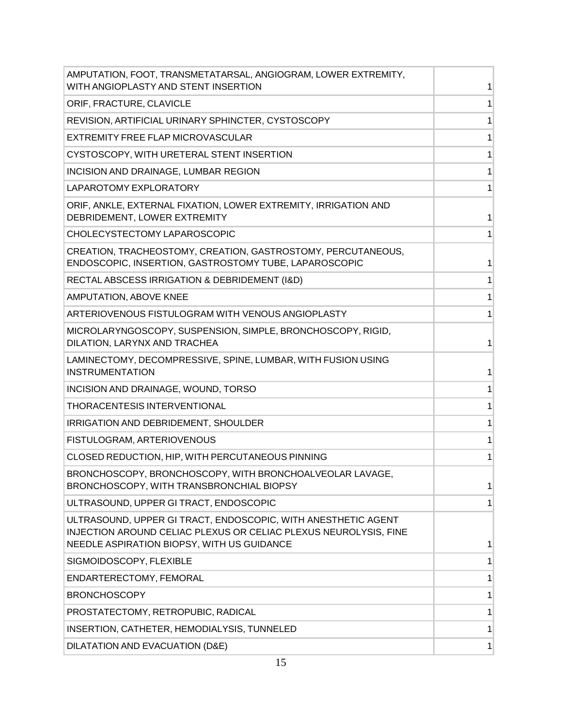| AMPUTATION, FOOT, TRANSMETATARSAL, ANGIOGRAM, LOWER EXTREMITY,<br>WITH ANGIOPLASTY AND STENT INSERTION                                                                          |   |
|---------------------------------------------------------------------------------------------------------------------------------------------------------------------------------|---|
| ORIF, FRACTURE, CLAVICLE                                                                                                                                                        |   |
| REVISION, ARTIFICIAL URINARY SPHINCTER, CYSTOSCOPY                                                                                                                              |   |
| EXTREMITY FREE FLAP MICROVASCULAR                                                                                                                                               | 1 |
| CYSTOSCOPY, WITH URETERAL STENT INSERTION                                                                                                                                       | 1 |
| INCISION AND DRAINAGE, LUMBAR REGION                                                                                                                                            | 1 |
| LAPAROTOMY EXPLORATORY                                                                                                                                                          | 1 |
| ORIF, ANKLE, EXTERNAL FIXATION, LOWER EXTREMITY, IRRIGATION AND<br>DEBRIDEMENT, LOWER EXTREMITY                                                                                 | 1 |
| CHOLECYSTECTOMY LAPAROSCOPIC                                                                                                                                                    |   |
| CREATION, TRACHEOSTOMY, CREATION, GASTROSTOMY, PERCUTANEOUS,<br>ENDOSCOPIC, INSERTION, GASTROSTOMY TUBE, LAPAROSCOPIC                                                           | 1 |
| RECTAL ABSCESS IRRIGATION & DEBRIDEMENT (I&D)                                                                                                                                   |   |
| AMPUTATION, ABOVE KNEE                                                                                                                                                          |   |
| ARTERIOVENOUS FISTULOGRAM WITH VENOUS ANGIOPLASTY                                                                                                                               | 1 |
| MICROLARYNGOSCOPY, SUSPENSION, SIMPLE, BRONCHOSCOPY, RIGID,<br>DILATION, LARYNX AND TRACHEA                                                                                     |   |
| LAMINECTOMY, DECOMPRESSIVE, SPINE, LUMBAR, WITH FUSION USING<br><b>INSTRUMENTATION</b>                                                                                          |   |
| INCISION AND DRAINAGE, WOUND, TORSO                                                                                                                                             |   |
| THORACENTESIS INTERVENTIONAL                                                                                                                                                    |   |
| IRRIGATION AND DEBRIDEMENT, SHOULDER                                                                                                                                            |   |
| FISTULOGRAM, ARTERIOVENOUS                                                                                                                                                      |   |
| CLOSED REDUCTION, HIP, WITH PERCUTANEOUS PINNING                                                                                                                                | 1 |
| BRONCHOSCOPY, BRONCHOSCOPY, WITH BRONCHOALVEOLAR LAVAGE,<br>BRONCHOSCOPY, WITH TRANSBRONCHIAL BIOPSY                                                                            | 1 |
| ULTRASOUND, UPPER GI TRACT, ENDOSCOPIC                                                                                                                                          |   |
| ULTRASOUND, UPPER GI TRACT, ENDOSCOPIC, WITH ANESTHETIC AGENT<br>INJECTION AROUND CELIAC PLEXUS OR CELIAC PLEXUS NEUROLYSIS, FINE<br>NEEDLE ASPIRATION BIOPSY, WITH US GUIDANCE |   |
| SIGMOIDOSCOPY, FLEXIBLE                                                                                                                                                         | 1 |
| ENDARTERECTOMY, FEMORAL                                                                                                                                                         | 1 |
| <b>BRONCHOSCOPY</b>                                                                                                                                                             | 1 |
| PROSTATECTOMY, RETROPUBIC, RADICAL                                                                                                                                              | 1 |
| INSERTION, CATHETER, HEMODIALYSIS, TUNNELED                                                                                                                                     | 1 |
| DILATATION AND EVACUATION (D&E)                                                                                                                                                 | 1 |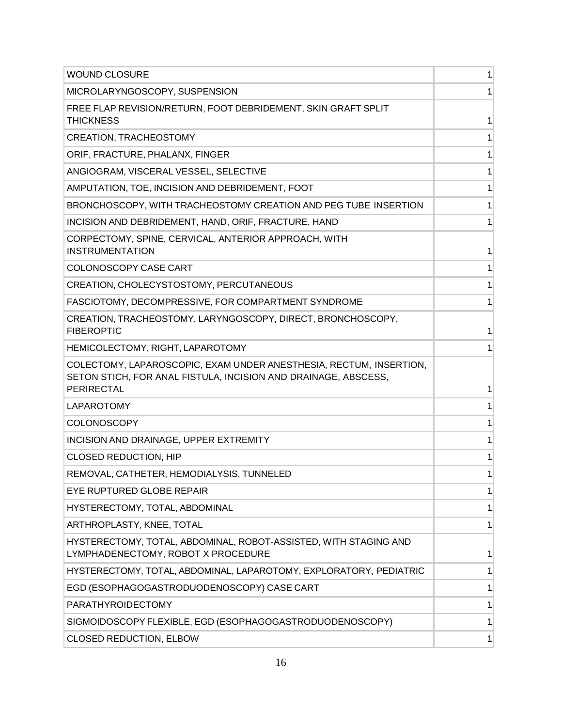| <b>WOUND CLOSURE</b>                                                                                                                                      | 1 |
|-----------------------------------------------------------------------------------------------------------------------------------------------------------|---|
| MICROLARYNGOSCOPY, SUSPENSION                                                                                                                             |   |
| FREE FLAP REVISION/RETURN, FOOT DEBRIDEMENT, SKIN GRAFT SPLIT<br><b>THICKNESS</b>                                                                         | 1 |
| <b>CREATION, TRACHEOSTOMY</b>                                                                                                                             | 1 |
| ORIF, FRACTURE, PHALANX, FINGER                                                                                                                           | 1 |
| ANGIOGRAM, VISCERAL VESSEL, SELECTIVE                                                                                                                     |   |
| AMPUTATION, TOE, INCISION AND DEBRIDEMENT, FOOT                                                                                                           |   |
| BRONCHOSCOPY, WITH TRACHEOSTOMY CREATION AND PEG TUBE INSERTION                                                                                           | 1 |
| INCISION AND DEBRIDEMENT, HAND, ORIF, FRACTURE, HAND                                                                                                      | 1 |
| CORPECTOMY, SPINE, CERVICAL, ANTERIOR APPROACH, WITH<br><b>INSTRUMENTATION</b>                                                                            | 1 |
| COLONOSCOPY CASE CART                                                                                                                                     | 1 |
| CREATION, CHOLECYSTOSTOMY, PERCUTANEOUS                                                                                                                   | 1 |
| FASCIOTOMY, DECOMPRESSIVE, FOR COMPARTMENT SYNDROME                                                                                                       | 1 |
| CREATION, TRACHEOSTOMY, LARYNGOSCOPY, DIRECT, BRONCHOSCOPY,<br><b>FIBEROPTIC</b>                                                                          |   |
| HEMICOLECTOMY, RIGHT, LAPAROTOMY                                                                                                                          | 1 |
| COLECTOMY, LAPAROSCOPIC, EXAM UNDER ANESTHESIA, RECTUM, INSERTION,<br>SETON STICH, FOR ANAL FISTULA, INCISION AND DRAINAGE, ABSCESS,<br><b>PERIRECTAL</b> | 1 |
| LAPAROTOMY                                                                                                                                                | 1 |
| COLONOSCOPY                                                                                                                                               | 1 |
| INCISION AND DRAINAGE, UPPER EXTREMITY                                                                                                                    | 1 |
| <b>CLOSED REDUCTION, HIP</b>                                                                                                                              | 1 |
| REMOVAL, CATHETER, HEMODIALYSIS, TUNNELED                                                                                                                 | 1 |
| EYE RUPTURED GLOBE REPAIR                                                                                                                                 | 1 |
| HYSTERECTOMY, TOTAL, ABDOMINAL                                                                                                                            |   |
| ARTHROPLASTY, KNEE, TOTAL                                                                                                                                 |   |
| HYSTERECTOMY, TOTAL, ABDOMINAL, ROBOT-ASSISTED, WITH STAGING AND<br>LYMPHADENECTOMY, ROBOT X PROCEDURE                                                    | 1 |
| HYSTERECTOMY, TOTAL, ABDOMINAL, LAPAROTOMY, EXPLORATORY, PEDIATRIC                                                                                        | 1 |
| EGD (ESOPHAGOGASTRODUODENOSCOPY) CASE CART                                                                                                                | 1 |
| PARATHYROIDECTOMY                                                                                                                                         | 1 |
| SIGMOIDOSCOPY FLEXIBLE, EGD (ESOPHAGOGASTRODUODENOSCOPY)                                                                                                  | 1 |
| <b>CLOSED REDUCTION, ELBOW</b>                                                                                                                            | 1 |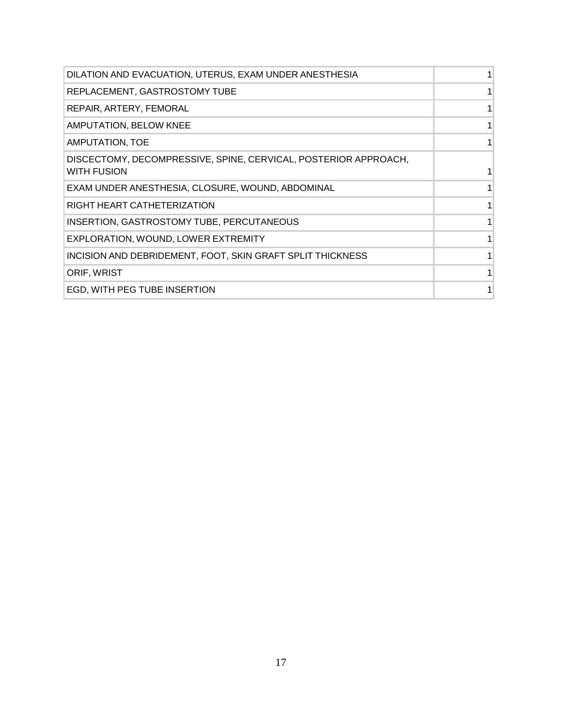| DILATION AND EVACUATION, UTERUS, EXAM UNDER ANESTHESIA                                |  |
|---------------------------------------------------------------------------------------|--|
| REPLACEMENT, GASTROSTOMY TUBE                                                         |  |
| REPAIR, ARTERY, FEMORAL                                                               |  |
| AMPUTATION, BELOW KNEE                                                                |  |
| AMPUTATION, TOE                                                                       |  |
| DISCECTOMY, DECOMPRESSIVE, SPINE, CERVICAL, POSTERIOR APPROACH,<br><b>WITH FUSION</b> |  |
| EXAM UNDER ANESTHESIA, CLOSURE, WOUND, ABDOMINAL                                      |  |
| RIGHT HEART CATHETERIZATION                                                           |  |
| <b>INSERTION, GASTROSTOMY TUBE, PERCUTANEOUS</b>                                      |  |
| EXPLORATION, WOUND, LOWER EXTREMITY                                                   |  |
| INCISION AND DEBRIDEMENT, FOOT, SKIN GRAFT SPLIT THICKNESS                            |  |
| ORIF, WRIST                                                                           |  |
| EGD, WITH PEG TUBE INSERTION                                                          |  |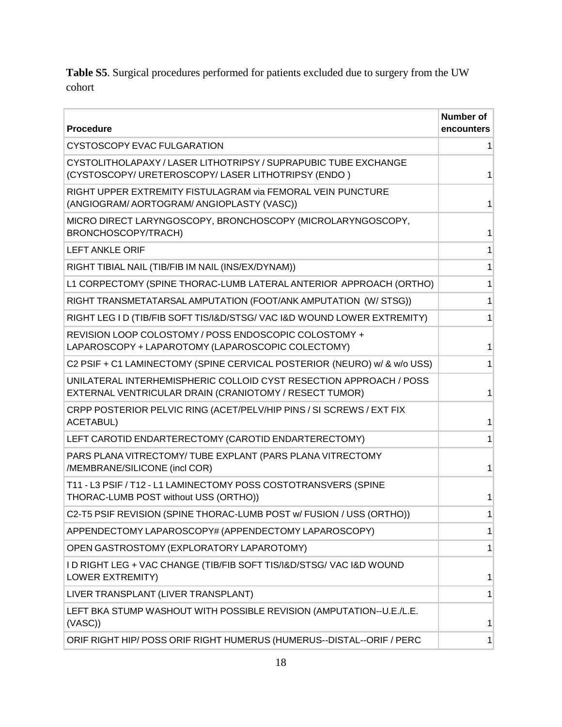**Table S5**. Surgical procedures performed for patients excluded due to surgery from the UW cohort

| <b>Procedure</b>                                                                                                             | <b>Number of</b><br>encounters |
|------------------------------------------------------------------------------------------------------------------------------|--------------------------------|
| CYSTOSCOPY EVAC FULGARATION                                                                                                  |                                |
| CYSTOLITHOLAPAXY / LASER LITHOTRIPSY / SUPRAPUBIC TUBE EXCHANGE<br>(CYSTOSCOPY/URETEROSCOPY/LASER LITHOTRIPSY (ENDO)         | 1                              |
| RIGHT UPPER EXTREMITY FISTULAGRAM via FEMORAL VEIN PUNCTURE<br>(ANGIOGRAM/AORTOGRAM/ANGIOPLASTY (VASC))                      | 1                              |
| MICRO DIRECT LARYNGOSCOPY, BRONCHOSCOPY (MICROLARYNGOSCOPY,<br>BRONCHOSCOPY/TRACH)                                           |                                |
| <b>LEFT ANKLE ORIF</b>                                                                                                       |                                |
| RIGHT TIBIAL NAIL (TIB/FIB IM NAIL (INS/EX/DYNAM))                                                                           | 1                              |
| L1 CORPECTOMY (SPINE THORAC-LUMB LATERAL ANTERIOR APPROACH (ORTHO)                                                           | 1                              |
| RIGHT TRANSMETATARSAL AMPUTATION (FOOT/ANK AMPUTATION (W/ STSG))                                                             | 1                              |
| RIGHT LEG I D (TIB/FIB SOFT TIS/I&D/STSG/ VAC I&D WOUND LOWER EXTREMITY)                                                     | 1                              |
| REVISION LOOP COLOSTOMY / POSS ENDOSCOPIC COLOSTOMY +<br>LAPAROSCOPY + LAPAROTOMY (LAPAROSCOPIC COLECTOMY)                   | 1                              |
| C2 PSIF + C1 LAMINECTOMY (SPINE CERVICAL POSTERIOR (NEURO) w/ & w/o USS)                                                     |                                |
| UNILATERAL INTERHEMISPHERIC COLLOID CYST RESECTION APPROACH / POSS<br>EXTERNAL VENTRICULAR DRAIN (CRANIOTOMY / RESECT TUMOR) | 1                              |
| CRPP POSTERIOR PELVIC RING (ACET/PELV/HIP PINS / SI SCREWS / EXT FIX<br><b>ACETABUL)</b>                                     | 1                              |
| LEFT CAROTID ENDARTERECTOMY (CAROTID ENDARTERECTOMY)                                                                         | 1                              |
| PARS PLANA VITRECTOMY/ TUBE EXPLANT (PARS PLANA VITRECTOMY<br>/MEMBRANE/SILICONE (incl COR)                                  | 1                              |
| T11 - L3 PSIF / T12 - L1 LAMINECTOMY POSS COSTOTRANSVERS (SPINE<br>THORAC-LUMB POST without USS (ORTHO))                     |                                |
| C2-T5 PSIF REVISION (SPINE THORAC-LUMB POST w/ FUSION / USS (ORTHO))                                                         |                                |
| APPENDECTOMY LAPAROSCOPY# (APPENDECTOMY LAPAROSCOPY)                                                                         | 1                              |
| OPEN GASTROSTOMY (EXPLORATORY LAPAROTOMY)                                                                                    | 1                              |
| I D RIGHT LEG + VAC CHANGE (TIB/FIB SOFT TIS/I&D/STSG/ VAC I&D WOUND<br><b>LOWER EXTREMITY)</b>                              | 1                              |
| LIVER TRANSPLANT (LIVER TRANSPLANT)                                                                                          | 1                              |
| LEFT BKA STUMP WASHOUT WITH POSSIBLE REVISION (AMPUTATION--U.E./L.E.<br>(VASC)                                               | 1                              |
| ORIF RIGHT HIP/ POSS ORIF RIGHT HUMERUS (HUMERUS--DISTAL--ORIF / PERC                                                        | 1                              |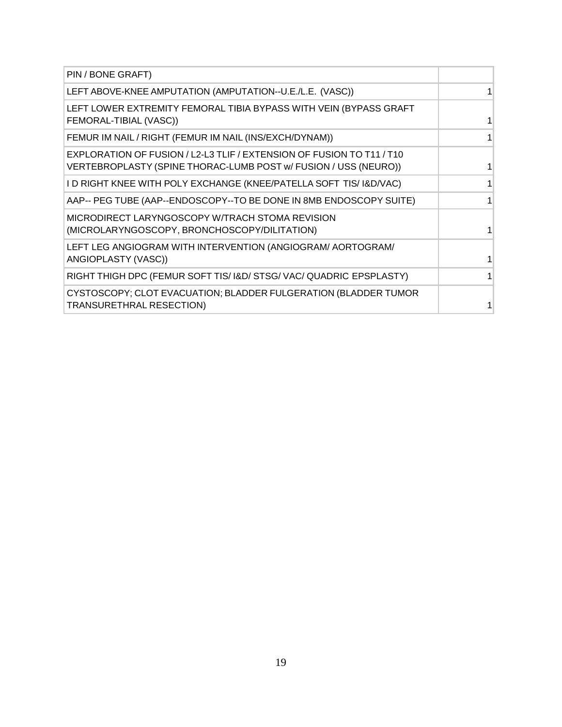| PIN / BONE GRAFT)                                                                                                                        |  |
|------------------------------------------------------------------------------------------------------------------------------------------|--|
| LEFT ABOVE-KNEE AMPUTATION (AMPUTATION--U.E./L.E. (VASC))                                                                                |  |
| LEFT LOWER EXTREMITY FEMORAL TIBIA BYPASS WITH VEIN (BYPASS GRAFT<br>FEMORAL-TIBIAL (VASC))                                              |  |
| FEMUR IM NAIL / RIGHT (FEMUR IM NAIL (INS/EXCH/DYNAM))                                                                                   |  |
| EXPLORATION OF FUSION / L2-L3 TLIF / EXTENSION OF FUSION TO T11 / T10<br>VERTEBROPLASTY (SPINE THORAC-LUMB POST w/ FUSION / USS (NEURO)) |  |
| I D RIGHT KNEE WITH POLY EXCHANGE (KNEE/PATELLA SOFT TIS/ I&D/VAC)                                                                       |  |
| AAP-- PEG TUBE (AAP--ENDOSCOPY--TO BE DONE IN 8MB ENDOSCOPY SUITE)                                                                       |  |
| MICRODIRECT LARYNGOSCOPY W/TRACH STOMA REVISION<br>(MICROLARYNGOSCOPY, BRONCHOSCOPY/DILITATION)                                          |  |
| LEFT LEG ANGIOGRAM WITH INTERVENTION (ANGIOGRAM/ AORTOGRAM/<br>ANGIOPLASTY (VASC))                                                       |  |
| RIGHT THIGH DPC (FEMUR SOFT TIS/ I&D/ STSG/ VAC/ QUADRIC EPSPLASTY)                                                                      |  |
| CYSTOSCOPY; CLOT EVACUATION; BLADDER FULGERATION (BLADDER TUMOR<br>TRANSURETHRAL RESECTION)                                              |  |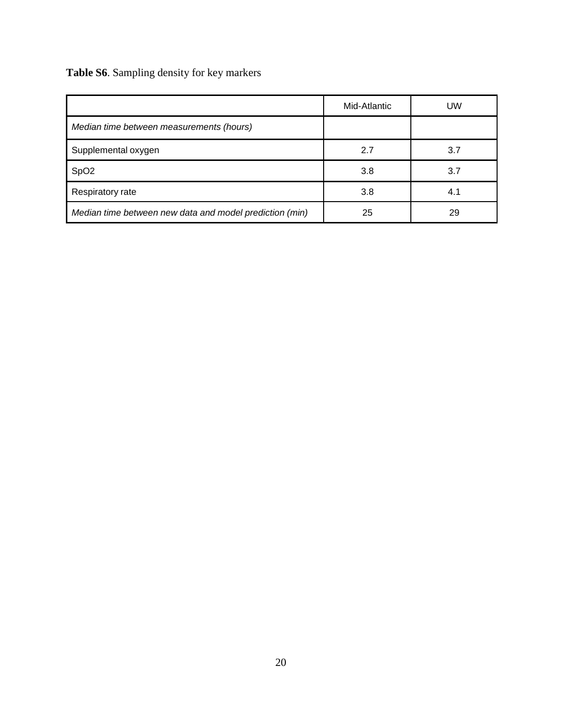# **Table S6**. Sampling density for key markers

|                                                         | Mid-Atlantic | UW  |
|---------------------------------------------------------|--------------|-----|
| Median time between measurements (hours)                |              |     |
| Supplemental oxygen                                     | 2.7          | 3.7 |
| SpO <sub>2</sub>                                        | 3.8          | 3.7 |
| Respiratory rate                                        | 3.8          | 4.1 |
| Median time between new data and model prediction (min) | 25           | 29  |